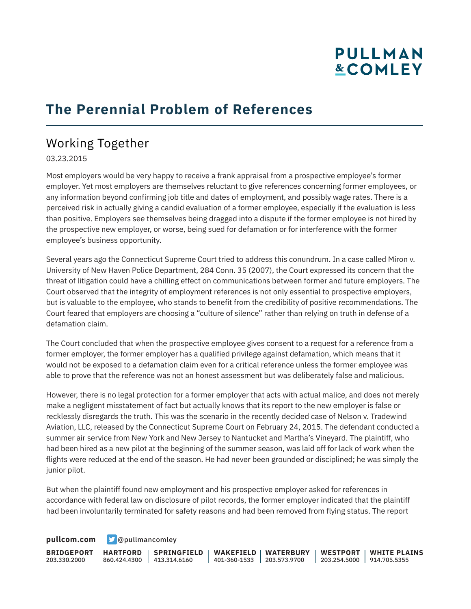# **PULLMAN &COMLEY**

### **The Perennial Problem of References**

### Working Together

#### 03.23.2015

Most employers would be very happy to receive a frank appraisal from a prospective employee's former employer. Yet most employers are themselves reluctant to give references concerning former employees, or any information beyond confirming job title and dates of employment, and possibly wage rates. There is a perceived risk in actually giving a candid evaluation of a former employee, especially if the evaluation is less than positive. Employers see themselves being dragged into a dispute if the former employee is not hired by the prospective new employer, or worse, being sued for defamation or for interference with the former employee's business opportunity.

Several years ago the Connecticut Supreme Court tried to address this conundrum. In a case called Miron v. University of New Haven Police Department, 284 Conn. 35 (2007), the Court expressed its concern that the threat of litigation could have a chilling effect on communications between former and future employers. The Court observed that the integrity of employment references is not only essential to prospective employers, but is valuable to the employee, who stands to benefit from the credibility of positive recommendations. The Court feared that employers are choosing a "culture of silence" rather than relying on truth in defense of a defamation claim.

The Court concluded that when the prospective employee gives consent to a request for a reference from a former employer, the former employer has a qualified privilege against defamation, which means that it would not be exposed to a defamation claim even for a critical reference unless the former employee was able to prove that the reference was not an honest assessment but was deliberately false and malicious.

However, there is no legal protection for a former employer that acts with actual malice, and does not merely make a negligent misstatement of fact but actually knows that its report to the new employer is false or recklessly disregards the truth. This was the scenario in the recently decided case of Nelson v. Tradewind Aviation, LLC, released by the Connecticut Supreme Court on February 24, 2015. The defendant conducted a summer air service from New York and New Jersey to Nantucket and Martha's Vineyard. The plaintiff, who had been hired as a new pilot at the beginning of the summer season, was laid off for lack of work when the flights were reduced at the end of the season. He had never been grounded or disciplined; he was simply the junior pilot.

But when the plaintiff found new employment and his prospective employer asked for references in accordance with federal law on disclosure of pilot records, the former employer indicated that the plaintiff had been involuntarily terminated for safety reasons and had been removed from flying status. The report

**[pullcom.com](https://www.pullcom.com) g** [@pullmancomley](https://twitter.com/PullmanComley)

**BRIDGEPORT** 203.330.2000 **HARTFORD** 860.424.4300 413.314.6160 **SPRINGFIELD WAKEFIELD WATERBURY** 401-360-1533 203.573.9700 **WESTPORT WHITE PLAINS** 203.254.5000 914.705.5355